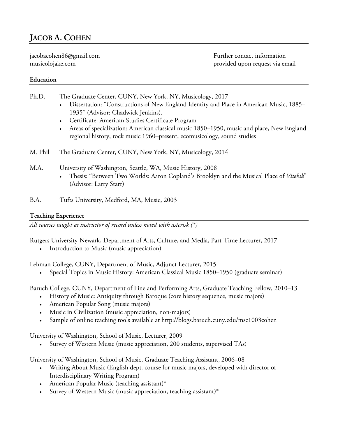jacobacohen86@gmail.com Further contact information musicolojake.com provided upon request via email

# **Education**

Ph.D. The Graduate Center, CUNY, New York, NY, Musicology, 2017

- Dissertation: "Constructions of New England Identity and Place in American Music, 1885– 1935" (Advisor: Chadwick Jenkins).
- Certificate: American Studies Certificate Program
- Areas of specialization: American classical music 1850–1950, music and place, New England regional history, rock music 1960–present, ecomusicology, sound studies
- M. Phil The Graduate Center, CUNY, New York, NY, Musicology, 2014
- M.A. University of Washington, Seattle, WA, Music History, 2008
	- Thesis: "Between Two Worlds: Aaron Copland's Brooklyn and the Musical Place of *Vitebsk*" (Advisor: Larry Starr)
- B.A. Tufts University, Medford, MA, Music, 2003

# **Teaching Experience**

*All courses taught as instructor of record unless noted with asterisk (\*)*

Rutgers University-Newark, Department of Arts, Culture, and Media, Part-Time Lecturer, 2017

Introduction to Music (music appreciation)

Lehman College, CUNY, Department of Music, Adjunct Lecturer, 2015

• Special Topics in Music History: American Classical Music 1850–1950 (graduate seminar)

Baruch College, CUNY, Department of Fine and Performing Arts, Graduate Teaching Fellow, 2010–13

- History of Music: Antiquity through Baroque (core history sequence, music majors)
- American Popular Song (music majors)
- Music in Civilization (music appreciation, non-majors)
- Sample of online teaching tools available at http://blogs.baruch.cuny.edu/msc1003cohen

University of Washington, School of Music, Lecturer, 2009

• Survey of Western Music (music appreciation, 200 students, supervised TAs)

University of Washington, School of Music, Graduate Teaching Assistant, 2006–08

- Writing About Music (English dept. course for music majors, developed with director of Interdisciplinary Writing Program)
- American Popular Music (teaching assistant)\*
- Survey of Western Music (music appreciation, teaching assistant)\*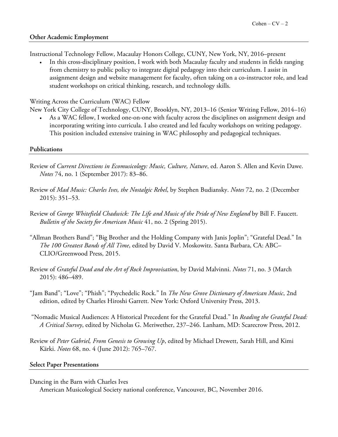## **Other Academic Employment**

Instructional Technology Fellow, Macaulay Honors College, CUNY, New York, NY, 2016–present

• In this cross-disciplinary position, I work with both Macaulay faculty and students in fields ranging from chemistry to public policy to integrate digital pedagogy into their curriculum. I assist in assignment design and website management for faculty, often taking on a co-instructor role, and lead student workshops on critical thinking, research, and technology skills.

## Writing Across the Curriculum (WAC) Fellow

New York City College of Technology, CUNY, Brooklyn, NY, 2013–16 (Senior Writing Fellow, 2014–16)

• As a WAC fellow, I worked one-on-one with faculty across the disciplines on assignment design and incorporating writing into curricula. I also created and led faculty workshops on writing pedagogy. This position included extensive training in WAC philosophy and pedagogical techniques.

### **Publications**

- Review of *Current Directions in Ecomusicology: Music, Culture, Nature*, ed. Aaron S. Allen and Kevin Dawe. *Notes* 74, no. 1 (September 2017): 83–86.
- Review of *Mad Music: Charles Ives, the Nostalgic Rebel*, by Stephen Budiansky. *Notes* 72, no. 2 (December 2015): 351–53.
- Review of *George Whitefield Chadwick: The Life and Music of the Pride of New England* by Bill F. Faucett. *Bulletin of the Society for American Music* 41, no. 2 (Spring 2015).
- "Allman Brothers Band"; "Big Brother and the Holding Company with Janis Joplin"; "Grateful Dead." In *The 100 Greatest Bands of All Time*, edited by David V. Moskowitz. Santa Barbara, CA: ABC– CLIO/Greenwood Press, 2015.
- Review of *Grateful Dead and the Art of Rock Improvisation*, by David Malvinni. *Notes* 71, no. 3 (March 2015): 486–489.
- "Jam Band"; "Love"; "Phish"; "Psychedelic Rock." In *The New Grove Dictionary of American Music*, 2nd edition, edited by Charles Hiroshi Garrett. New York: Oxford University Press, 2013.
- "Nomadic Musical Audiences: A Historical Precedent for the Grateful Dead." In *Reading the Grateful Dead: A Critical Survey*, edited by Nicholas G. Meriwether, 237–246. Lanham, MD: Scarecrow Press, 2012.
- Review of *Peter Gabriel, From Genesis to Growing Up*, edited by Michael Drewett, Sarah Hill, and Kimi Kärki. *Notes* 68, no. 4 (June 2012): 765–767.

#### **Select Paper Presentations**

- Dancing in the Barn with Charles Ives
	- American Musicological Society national conference, Vancouver, BC, November 2016.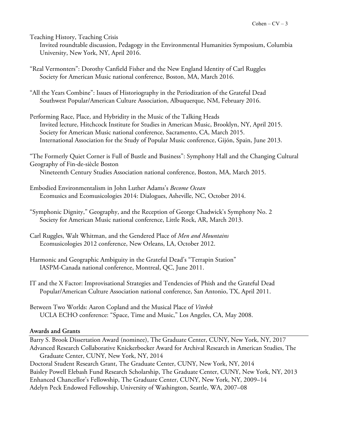Teaching History, Teaching Crisis

Invited roundtable discussion, Pedagogy in the Environmental Humanities Symposium, Columbia University, New York, NY, April 2016.

- "Real Vermonters": Dorothy Canfield Fisher and the New England Identity of Carl Ruggles Society for American Music national conference, Boston, MA, March 2016.
- "All the Years Combine": Issues of Historiography in the Periodization of the Grateful Dead Southwest Popular/American Culture Association, Albuquerque, NM, February 2016.
- Performing Race, Place, and Hybridity in the Music of the Talking Heads Invited lecture, Hitchcock Institute for Studies in American Music, Brooklyn, NY, April 2015. Society for American Music national conference, Sacramento, CA, March 2015. International Association for the Study of Popular Music conference, Gijón, Spain, June 2013.

"The Formerly Quiet Corner is Full of Bustle and Business": Symphony Hall and the Changing Cultural Geography of Fin-de-siècle Boston Nineteenth Century Studies Association national conference, Boston, MA, March 2015.

- Embodied Environmentalism in John Luther Adams's *Become Ocean* Ecomusics and Ecomusicologies 2014: Dialogues, Asheville, NC, October 2014.
- "Symphonic Dignity," Geography, and the Reception of George Chadwick's Symphony No. 2 Society for American Music national conference, Little Rock, AR, March 2013.
- Carl Ruggles, Walt Whitman, and the Gendered Place of *Men and Mountains* Ecomusicologies 2012 conference, New Orleans, LA, October 2012.
- Harmonic and Geographic Ambiguity in the Grateful Dead's "Terrapin Station" IASPM-Canada national conference, Montreal, QC, June 2011.
- IT and the X Factor: Improvisational Strategies and Tendencies of Phish and the Grateful Dead Popular/American Culture Association national conference, San Antonio, TX, April 2011.
- Between Two Worlds: Aaron Copland and the Musical Place of *Vitebsk* UCLA ECHO conference: "Space, Time and Music," Los Angeles, CA, May 2008.

# **Awards and Grants**

Barry S. Brook Dissertation Award (nominee), The Graduate Center, CUNY, New York, NY, 2017 Advanced Research Collaborative Knickerbocker Award for Archival Research in American Studies, The Graduate Center, CUNY, New York, NY, 2014 Doctoral Student Research Grant, The Graduate Center, CUNY, New York, NY, 2014 Baisley Powell Elebash Fund Research Scholarship, The Graduate Center, CUNY, New York, NY, 2013 Enhanced Chancellor's Fellowship, The Graduate Center, CUNY, New York, NY, 2009–14 Adelyn Peck Endowed Fellowship, University of Washington, Seattle, WA, 2007–08